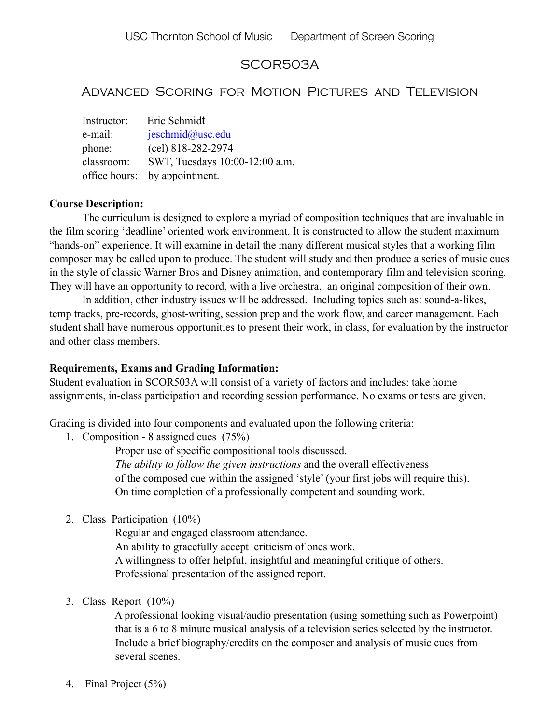# SCOR503A

## Advanced Scoring for Motion Pictures and Television

| Instructor: | Eric Schmidt                   |
|-------------|--------------------------------|
| e-mail:     | jeschmid@usc.edu               |
| phone:      | (cel) 818-282-2974             |
| classroom:  | SWT, Tuesdays 10:00-12:00 a.m. |
|             | office hours: by appointment.  |

### **Course Description:**

The curriculum is designed to explore a myriad of composition techniques that are invaluable in the film scoring 'deadline' oriented work environment. It is constructed to allow the student maximum "hands-on" experience. It will examine in detail the many different musical styles that a working film composer may be called upon to produce. The student will study and then produce a series of music cues in the style of classic Warner Bros and Disney animation, and contemporary film and television scoring. They will have an opportunity to record, with a live orchestra, an original composition of their own.

In addition, other industry issues will be addressed. Including topics such as: sound-a-likes, temp tracks, pre-records, ghost-writing, session prep and the work flow, and career management. Each student shall have numerous opportunities to present their work, in class, for evaluation by the instructor and other class members.

### **Requirements, Exams and Grading Information:**

Student evaluation in SCOR503A will consist of a variety of factors and includes: take home assignments, in-class participation and recording session performance. No exams or tests are given.

Grading is divided into four components and evaluated upon the following criteria:

1. Composition - 8 assigned cues (75%)

 Proper use of specific compositional tools discussed. *The ability to follow the given instructions* and the overall effectiveness of the composed cue within the assigned 'style' (your first jobs will require this). On time completion of a professionally competent and sounding work.

2. Class Participation (10%)

Regular and engaged classroom attendance. An ability to gracefully accept criticism of ones work. A willingness to offer helpful, insightful and meaningful critique of others. Professional presentation of the assigned report.

3. Class Report (10%)

 A professional looking visual/audio presentation (using something such as Powerpoint) that is a 6 to 8 minute musical analysis of a television series selected by the instructor. Include a brief biography/credits on the composer and analysis of music cues from several scenes.

4. Final Project (5%)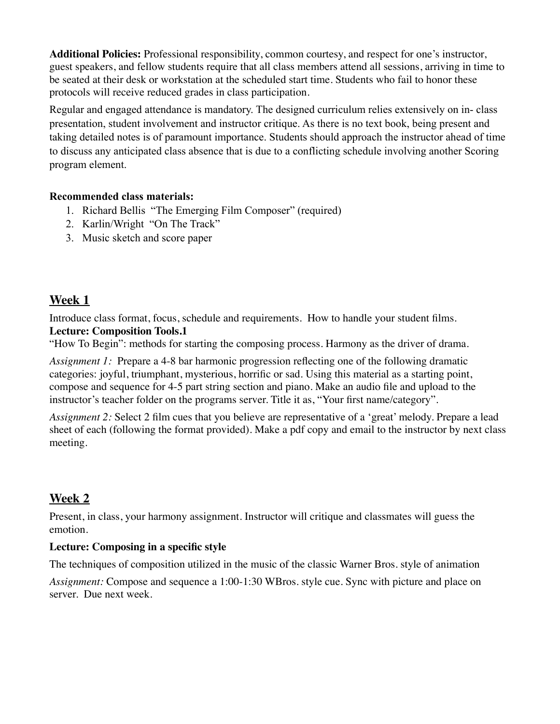**Additional Policies:** Professional responsibility, common courtesy, and respect for one's instructor, guest speakers, and fellow students require that all class members attend all sessions, arriving in time to be seated at their desk or workstation at the scheduled start time. Students who fail to honor these protocols will receive reduced grades in class participation.

Regular and engaged attendance is mandatory. The designed curriculum relies extensively on in- class presentation, student involvement and instructor critique. As there is no text book, being present and taking detailed notes is of paramount importance. Students should approach the instructor ahead of time to discuss any anticipated class absence that is due to a conflicting schedule involving another Scoring program element.

### **Recommended class materials:**

- 1. Richard Bellis "The Emerging Film Composer" (required)
- 2. Karlin/Wright "On The Track"
- 3. Music sketch and score paper

# **Week 1**

Introduce class format, focus, schedule and requirements. How to handle your student films. **Lecture: Composition Tools.1**

"How To Begin": methods for starting the composing process. Harmony as the driver of drama.

*Assignment 1:* Prepare a 4-8 bar harmonic progression reflecting one of the following dramatic categories: joyful, triumphant, mysterious, horrific or sad. Using this material as a starting point, compose and sequence for 4-5 part string section and piano. Make an audio file and upload to the instructor's teacher folder on the programs server. Title it as, "Your first name/category".

*Assignment 2:* Select 2 film cues that you believe are representative of a 'great' melody. Prepare a lead sheet of each (following the format provided). Make a pdf copy and email to the instructor by next class meeting.

# **Week 2**

Present, in class, your harmony assignment. Instructor will critique and classmates will guess the emotion.

## **Lecture: Composing in a specific style**

The techniques of composition utilized in the music of the classic Warner Bros. style of animation *Assignment:* Compose and sequence a 1:00-1:30 WBros. style cue. Sync with picture and place on server. Due next week.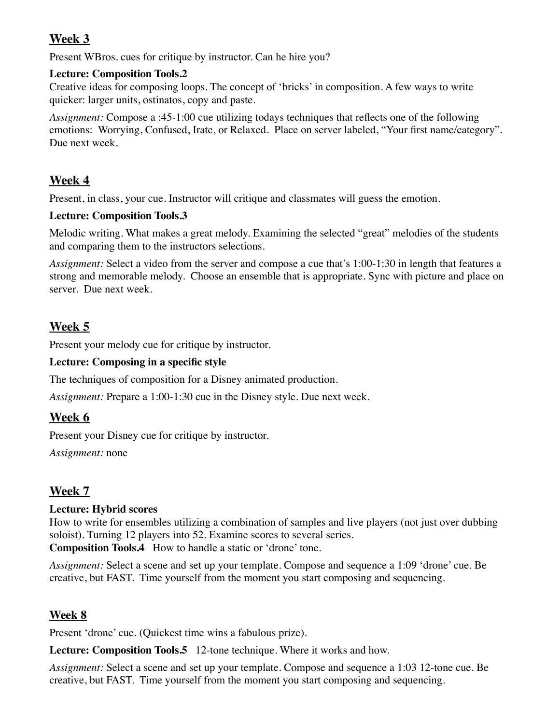# **Week 3**

Present WBros. cues for critique by instructor. Can he hire you?

### **Lecture: Composition Tools.2**

Creative ideas for composing loops. The concept of 'bricks' in composition. A few ways to write quicker: larger units, ostinatos, copy and paste.

*Assignment:* Compose a :45-1:00 cue utilizing todays techniques that reflects one of the following emotions: Worrying, Confused, Irate, or Relaxed. Place on server labeled, "Your first name/category". Due next week.

# **Week 4**

Present, in class, your cue. Instructor will critique and classmates will guess the emotion.

## **Lecture: Composition Tools.3**

Melodic writing. What makes a great melody. Examining the selected "great" melodies of the students and comparing them to the instructors selections.

*Assignment:* Select a video from the server and compose a cue that's 1:00-1:30 in length that features a strong and memorable melody. Choose an ensemble that is appropriate. Sync with picture and place on server. Due next week.

# **Week 5**

Present your melody cue for critique by instructor.

## **Lecture: Composing in a specific style**

The techniques of composition for a Disney animated production.

*Assignment:* Prepare a 1:00-1:30 cue in the Disney style. Due next week.

## **Week 6**

Present your Disney cue for critique by instructor.

*Assignment:* none

# **Week 7**

## **Lecture: Hybrid scores**

How to write for ensembles utilizing a combination of samples and live players (not just over dubbing soloist). Turning 12 players into 52. Examine scores to several series.

**Composition Tools.4** How to handle a static or 'drone' tone.

*Assignment:* Select a scene and set up your template. Compose and sequence a 1:09 'drone' cue. Be creative, but FAST. Time yourself from the moment you start composing and sequencing.

## **Week 8**

Present 'drone' cue. (Quickest time wins a fabulous prize).

**Lecture: Composition Tools.5** 12-tone technique. Where it works and how.

*Assignment:* Select a scene and set up your template. Compose and sequence a 1:03 12-tone cue. Be creative, but FAST. Time yourself from the moment you start composing and sequencing.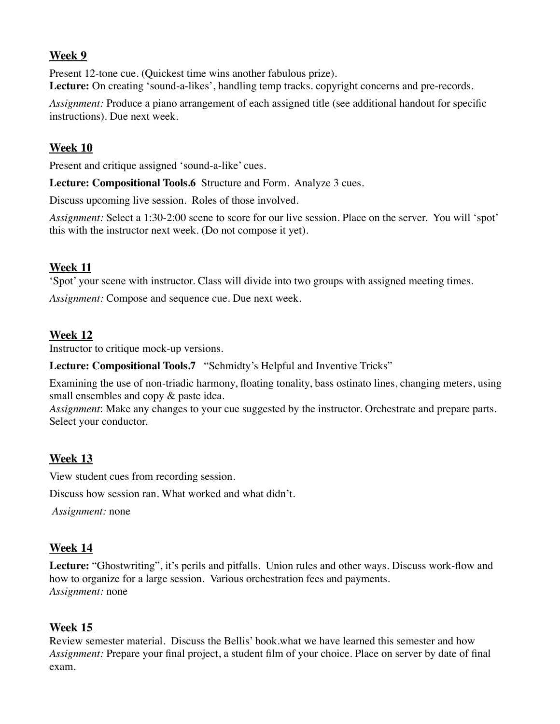### **Week 9**

Present 12-tone cue. (Quickest time wins another fabulous prize). Lecture: On creating 'sound-a-likes', handling temp tracks. copyright concerns and pre-records.

*Assignment:* Produce a piano arrangement of each assigned title (see additional handout for specific instructions). Due next week.

### **Week 10**

Present and critique assigned 'sound-a-like' cues.

**Lecture: Compositional Tools.6** Structure and Form. Analyze 3 cues.

Discuss upcoming live session. Roles of those involved.

*Assignment:* Select a 1:30-2:00 scene to score for our live session. Place on the server. You will 'spot' this with the instructor next week. (Do not compose it yet).

### **Week 11**

'Spot' your scene with instructor. Class will divide into two groups with assigned meeting times.

*Assignment:* Compose and sequence cue. Due next week.

### **Week 12**

Instructor to critique mock-up versions.

**Lecture: Compositional Tools.7** "Schmidty's Helpful and Inventive Tricks"

Examining the use of non-triadic harmony, floating tonality, bass ostinato lines, changing meters, using small ensembles and copy  $\&$  paste idea.

*Assignment*: Make any changes to your cue suggested by the instructor. Orchestrate and prepare parts. Select your conductor.

## **Week 13**

View student cues from recording session.

Discuss how session ran. What worked and what didn't.

*Assignment:* none

### **Week 14**

**Lecture:** "Ghostwriting", it's perils and pitfalls. Union rules and other ways. Discuss work-flow and how to organize for a large session. Various orchestration fees and payments. *Assignment:* none

### **Week 15**

Review semester material. Discuss the Bellis' book.what we have learned this semester and how *Assignment:* Prepare your final project, a student film of your choice. Place on server by date of final exam.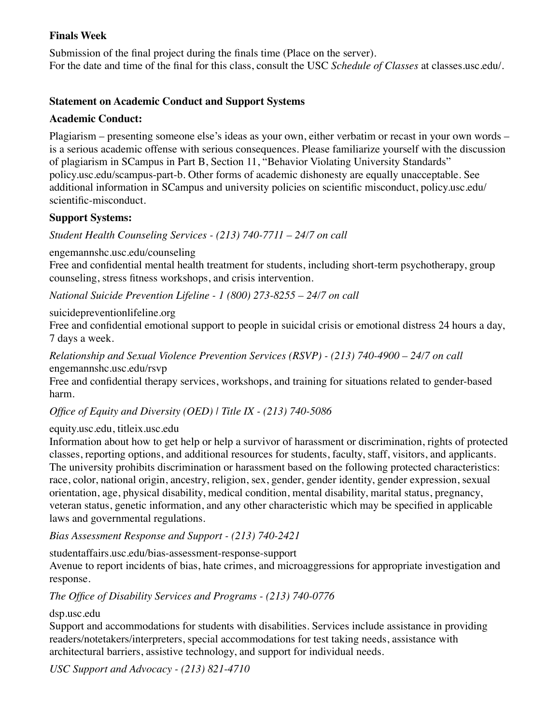### **Finals Week**

Submission of the final project during the finals time (Place on the server). For the date and time of the final for this class, consult the USC *Schedule of Classes* at classes.usc.edu/.

### **Statement on Academic Conduct and Support Systems**

### **Academic Conduct:**

Plagiarism – presenting someone else's ideas as your own, either verbatim or recast in your own words – is a serious academic offense with serious consequences. Please familiarize yourself with the discussion of plagiarism in SCampus in Part B, Section 11, "Behavior Violating University Standards" policy.usc.edu/scampus-part-b. Other forms of academic dishonesty are equally unacceptable. See additional information in SCampus and university policies on scientific misconduct, policy.usc.edu/ scientific-misconduct.

### **Support Systems:**

*Student Health Counseling Services - (213) 740-7711 – 24/7 on call* 

engemannshc.usc.edu/counseling

Free and confidential mental health treatment for students, including short-term psychotherapy, group counseling, stress fitness workshops, and crisis intervention.

*National Suicide Prevention Lifeline - 1 (800) 273-8255 – 24/7 on call* 

suicidepreventionlifeline.org

Free and confidential emotional support to people in suicidal crisis or emotional distress 24 hours a day, 7 days a week.

*Relationship and Sexual Violence Prevention Services (RSVP) - (213) 740-4900 – 24/7 on call* engemannshc.usc.edu/rsvp

Free and confidential therapy services, workshops, and training for situations related to gender-based harm.

*Office of Equity and Diversity (OED) | Title IX - (213) 740-5086* 

#### equity.usc.edu, titleix.usc.edu

Information about how to get help or help a survivor of harassment or discrimination, rights of protected classes, reporting options, and additional resources for students, faculty, staff, visitors, and applicants. The university prohibits discrimination or harassment based on the following protected characteristics: race, color, national origin, ancestry, religion, sex, gender, gender identity, gender expression, sexual orientation, age, physical disability, medical condition, mental disability, marital status, pregnancy, veteran status, genetic information, and any other characteristic which may be specified in applicable laws and governmental regulations.

*Bias Assessment Response and Support - (213) 740-2421* 

studentaffairs.usc.edu/bias-assessment-response-support

Avenue to report incidents of bias, hate crimes, and microaggressions for appropriate investigation and response.

*The Office of Disability Services and Programs - (213) 740-0776* 

#### dsp.usc.edu

Support and accommodations for students with disabilities. Services include assistance in providing readers/notetakers/interpreters, special accommodations for test taking needs, assistance with architectural barriers, assistive technology, and support for individual needs.

*USC Support and Advocacy - (213) 821-4710*